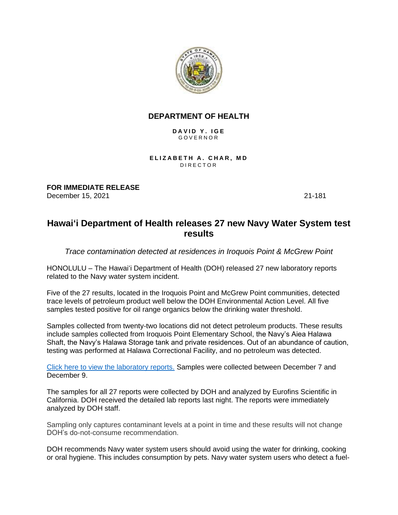

## **DEPARTMENT OF HEALTH**

DAVID Y. IGE G O V E R N O R

**ELIZABETH A. CHAR, MD** D I R E C T O R

**FOR IMMEDIATE RELEASE** December 15, 2021 21-181

## **Hawai'i Department of Health releases 27 new Navy Water System test results**

*Trace contamination detected at residences in Iroquois Point & McGrew Point*

HONOLULU – The Hawaiʻi Department of Health (DOH) released 27 new laboratory reports related to the Navy water system incident.

Five of the 27 results, located in the Iroquois Point and McGrew Point communities, detected trace levels of petroleum product well below the DOH Environmental Action Level. All five samples tested positive for oil range organics below the drinking water threshold.

Samples collected from twenty-two locations did not detect petroleum products. These results include samples collected from Iroquois Point Elementary School, the Navy's Aiea Halawa Shaft, the Navy's Halawa Storage tank and private residences. Out of an abundance of caution, testing was performed at Halawa Correctional Facility, and no petroleum was detected.

[Click here to view the laboratory reports.](https://health.hawaii.gov/about/navy-water-system-quality-updates/) Samples were collected between December 7 and December 9.

The samples for all 27 reports were collected by DOH and analyzed by Eurofins Scientific in California. DOH received the detailed lab reports last night. The reports were immediately analyzed by DOH staff.

Sampling only captures contaminant levels at a point in time and these results will not change DOH's do-not-consume recommendation.

DOH recommends Navy water system users should avoid using the water for drinking, cooking or oral hygiene. This includes consumption by pets. Navy water system users who detect a fuel